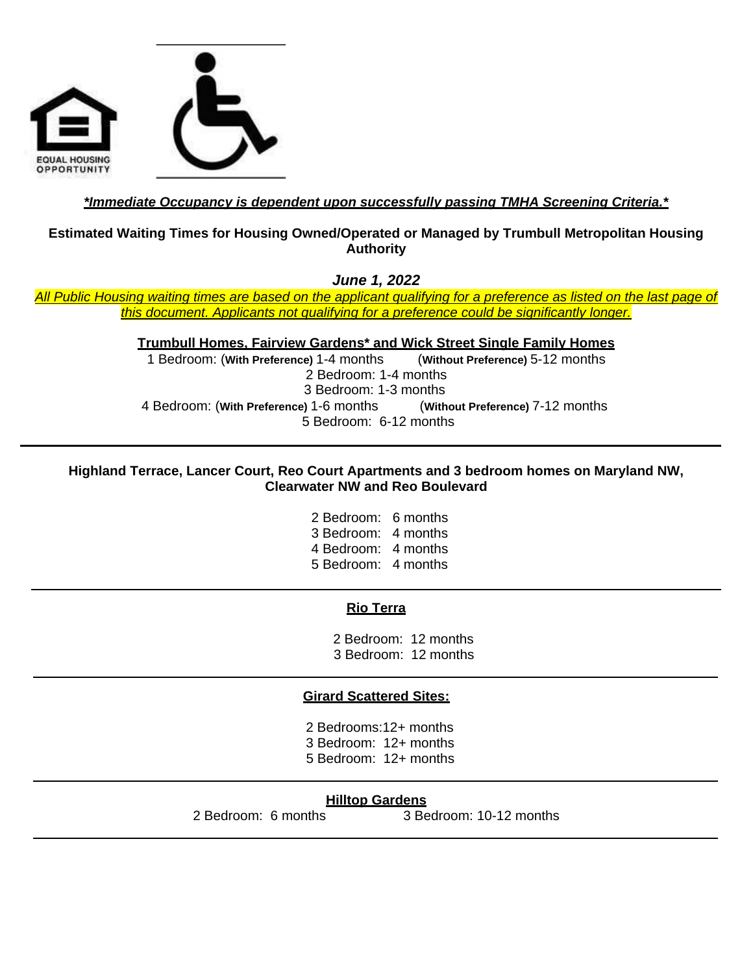

## *\*Immediate Occupancy is dependent upon successfully passing TMHA Screening Criteria.\**

### **Estimated Waiting Times for Housing Owned/Operated or Managed by Trumbull Metropolitan Housing Authority**

*June 1, 2022*

*All Public Housing waiting times are based on the applicant qualifying for a preference as listed on the last page of this document. Applicants not qualifying for a preference could be significantly longer.*

**Trumbull Homes, Fairview Gardens\* and Wick Street Single Family Homes**

1 Bedroom: (**With Preference)** 1-4 months (**Without Preference)** 5-12 months 2 Bedroom: 1-4 months 3 Bedroom: 1-3 months 4 Bedroom: (**With Preference)** 1-6 months (**Without Preference)** 7-12 months 5 Bedroom: 6-12 months

### **Highland Terrace, Lancer Court, Reo Court Apartments and 3 bedroom homes on Maryland NW, Clearwater NW and Reo Boulevard**

2 Bedroom: 6 months 3 Bedroom: 4 months 4 Bedroom: 4 months 5 Bedroom: 4 months

### **Rio Terra**

 2 Bedroom: 12 months 3 Bedroom: 12 months

### **Girard Scattered Sites:**

2 Bedrooms:12+ months 3 Bedroom: 12+ months 5 Bedroom: 12+ months

### **Hilltop Gardens**

2 Bedroom: 6 months 3 Bedroom: 10-12 months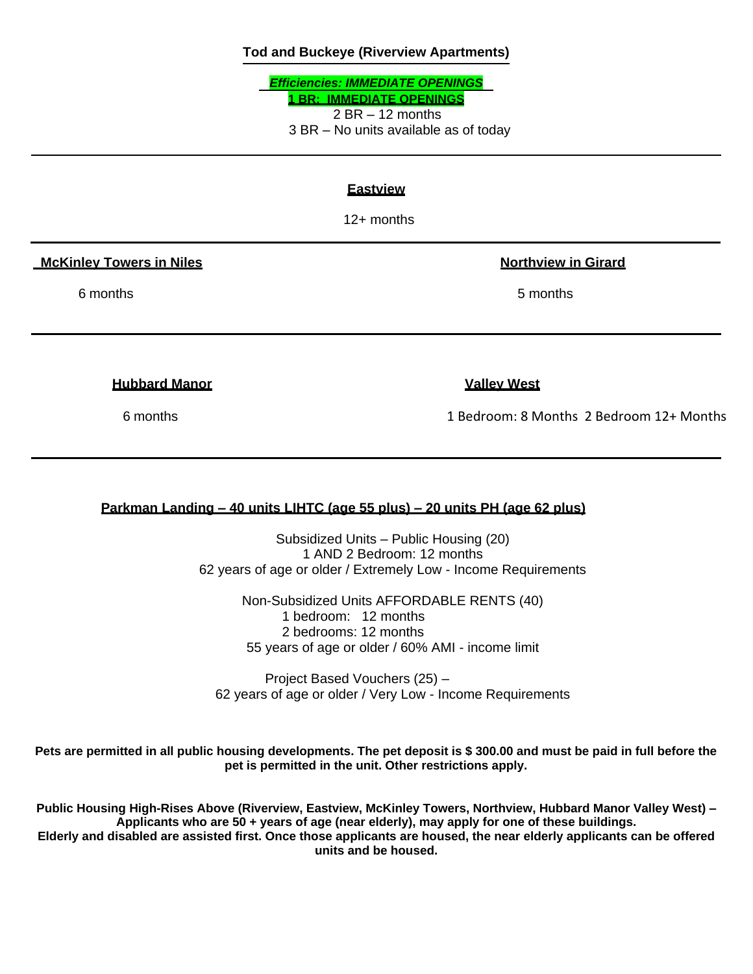### **Tod and Buckeye (Riverview Apartments)**

*Efficiencies: IMMEDIATE OPENINGS* **1 BR: IMMEDIATE OPENINGS**  $2 BR - 12$  months 3 BR – No units available as of today

### **Eastview**

12+ months

 **McKinley Towers in Niles Northview in Girard**

6 months **6 months** 5 months

**Hubbard Manor Valley West**

6 months 1 Bedroom: 8 Months 2 Bedroom 12+ Months

### **Parkman Landing – 40 units LIHTC (age 55 plus) – 20 units PH (age 62 plus)**

Subsidized Units – Public Housing (20) 1 AND 2 Bedroom: 12 months 62 years of age or older / Extremely Low - Income Requirements

> Non-Subsidized Units AFFORDABLE RENTS (40) 1 bedroom: 12 months 2 bedrooms: 12 months 55 years of age or older / 60% AMI - income limit

Project Based Vouchers (25) – 62 years of age or older / Very Low - Income Requirements

**Pets are permitted in all public housing developments. The pet deposit is \$ 300.00 and must be paid in full before the pet is permitted in the unit. Other restrictions apply.**

**Public Housing High-Rises Above (Riverview, Eastview, McKinley Towers, Northview, Hubbard Manor Valley West) – Applicants who are 50 + years of age (near elderly), may apply for one of these buildings. Elderly and disabled are assisted first. Once those applicants are housed, the near elderly applicants can be offered units and be housed.**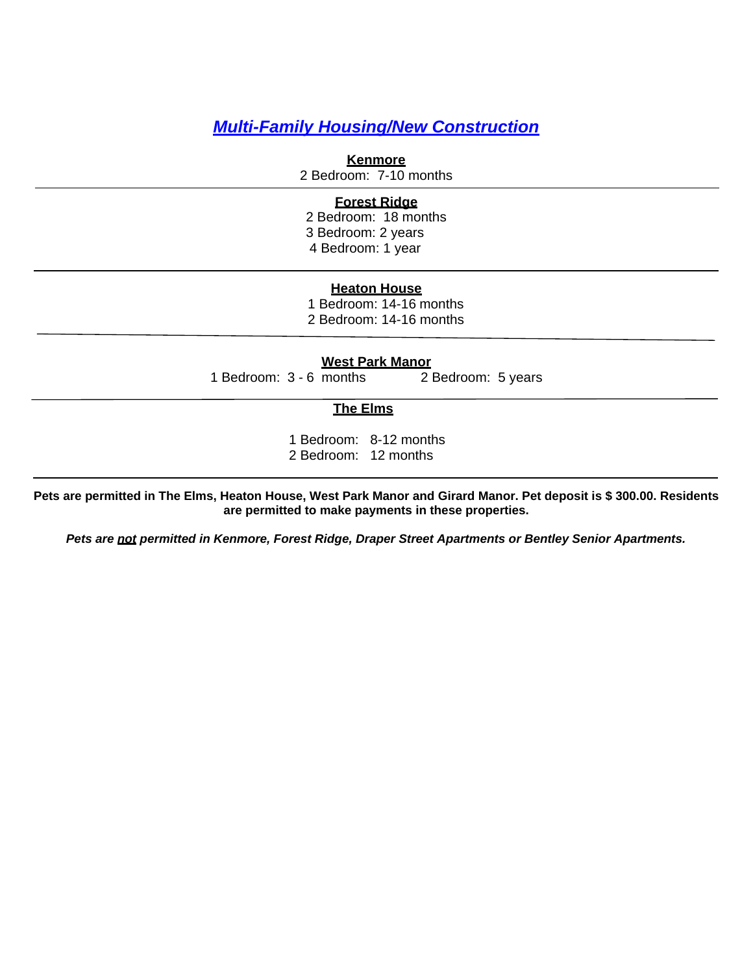# *Multi-Family Housing/New Construction*

**Kenmore** 2 Bedroom: 7-10 months

## **Forest Ridge**

2 Bedroom: 18 months 3 Bedroom: 2 years 4 Bedroom: 1 year

### **Heaton House**

1 Bedroom: 14-16 months 2 Bedroom: 14-16 months

**West Park Manor** 1 Bedroom: 3 - 6 months 2 Bedroom: 5 years

### **The Elms**

1 Bedroom: 8-12 months 2 Bedroom: 12 months

**Pets are permitted in The Elms, Heaton House, West Park Manor and Girard Manor. Pet deposit is \$ 300.00. Residents are permitted to make payments in these properties.**

*Pets are not permitted in Kenmore, Forest Ridge, Draper Street Apartments or Bentley Senior Apartments.*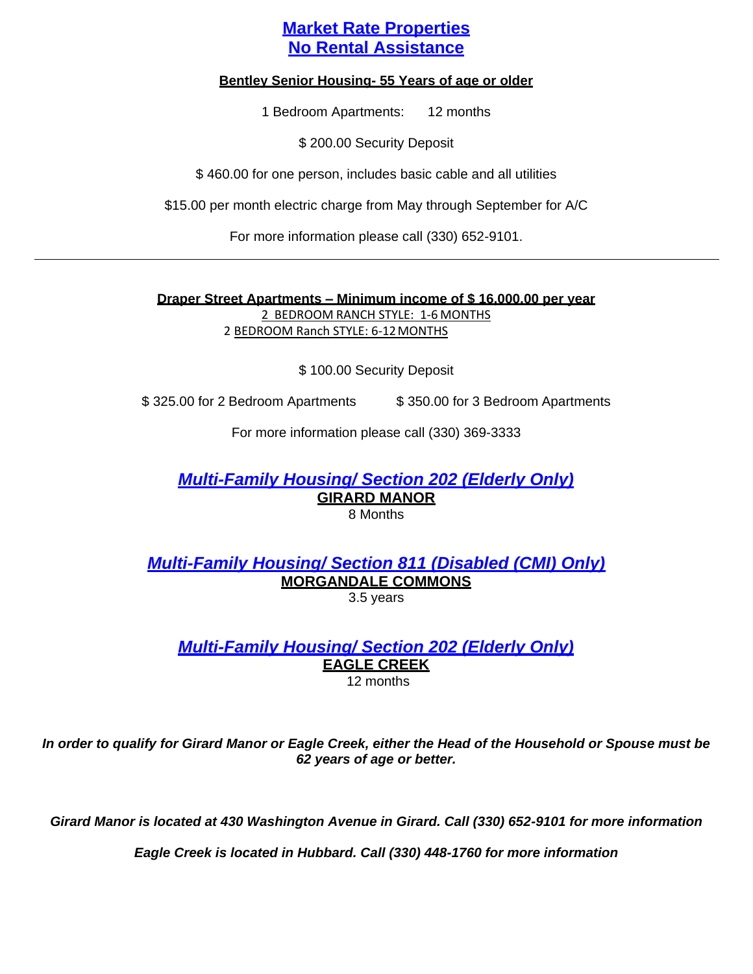# **Market Rate Properties No Rental Assistance**

### **Bentley Senior Housing- 55 Years of age or older**

1 Bedroom Apartments: 12 months

\$ 200.00 Security Deposit

\$ 460.00 for one person, includes basic cable and all utilities

\$15.00 per month electric charge from May through September for A/C

For more information please call (330) 652-9101.

**Draper Street Apartments – Minimum income of \$ 16,000.00 per year** 2 BEDROOM RANCH STYLE: 1-6 MONTHS 2 BEDROOM Ranch STYLE: 6-12MONTHS

\$ 100.00 Security Deposit

\$ 325.00 for 2 Bedroom Apartments \$ 350.00 for 3 Bedroom Apartments

For more information please call (330) 369-3333

*Multi-Family Housing/ Section 202 (Elderly Only)* **GIRARD MANOR**

8 Months

*Multi-Family Housing/ Section 811 (Disabled (CMI) Only)* **MORGANDALE COMMONS** 3.5 years

*Multi-Family Housing/ Section 202 (Elderly Only)* **EAGLE CREEK**

12 months

*In order to qualify for Girard Manor or Eagle Creek, either the Head of the Household or Spouse must be 62 years of age or better.*

*Girard Manor is located at 430 Washington Avenue in Girard. Call (330) 652-9101 for more information* 

*Eagle Creek is located in Hubbard. Call (330) 448-1760 for more information*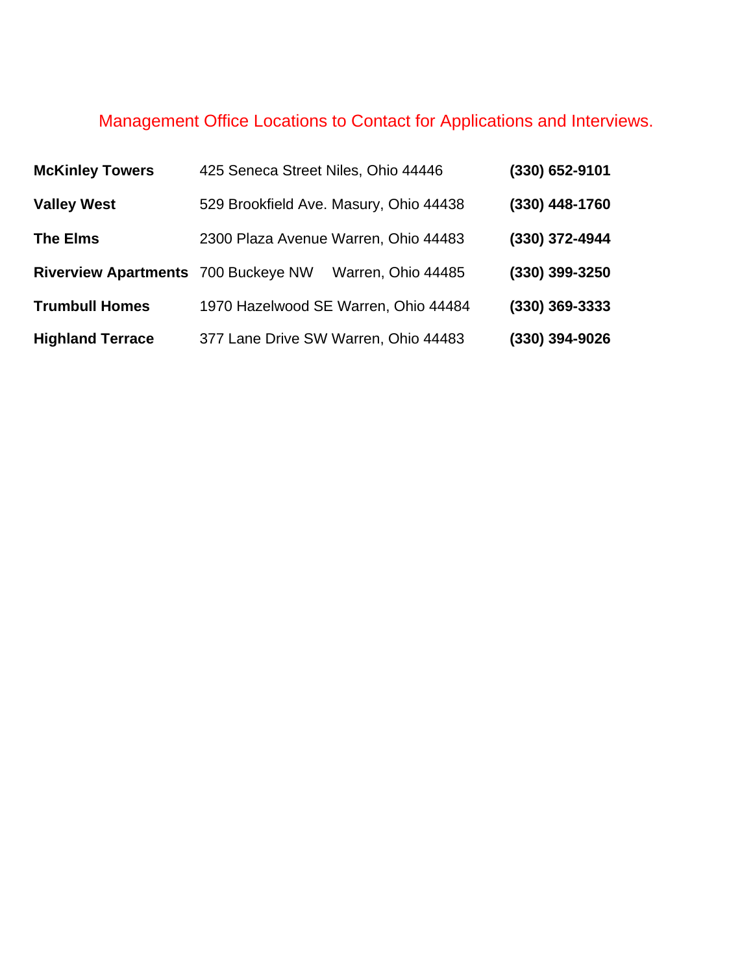# Management Office Locations to Contact for Applications and Interviews.

| <b>McKinley Towers</b>              | 425 Seneca Street Niles, Ohio 44446    | (330) 652-9101   |
|-------------------------------------|----------------------------------------|------------------|
| <b>Valley West</b>                  | 529 Brookfield Ave. Masury, Ohio 44438 | (330) 448-1760   |
| <b>The Elms</b>                     | 2300 Plaza Avenue Warren, Ohio 44483   | (330) 372-4944   |
| Riverview Apartments 700 Buckeye NW | Warren, Ohio 44485                     | (330) 399-3250   |
| <b>Trumbull Homes</b>               | 1970 Hazelwood SE Warren, Ohio 44484   | $(330)$ 369-3333 |
| <b>Highland Terrace</b>             | 377 Lane Drive SW Warren, Ohio 44483   | (330) 394-9026   |